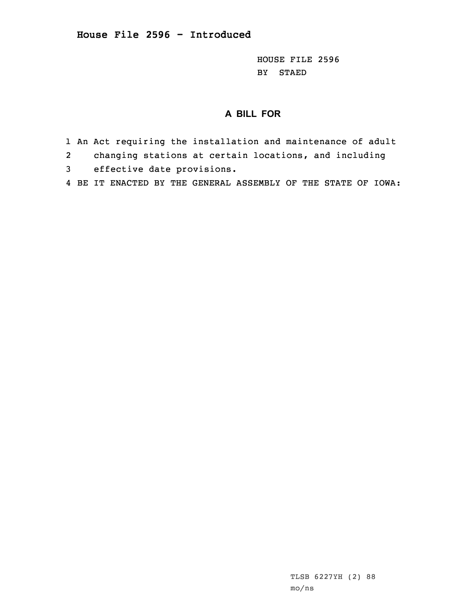HOUSE FILE 2596 BY STAED

## **A BILL FOR**

- 1 An Act requiring the installation and maintenance of adult
- 2changing stations at certain locations, and including
- 3 effective date provisions.
- 4 BE IT ENACTED BY THE GENERAL ASSEMBLY OF THE STATE OF IOWA: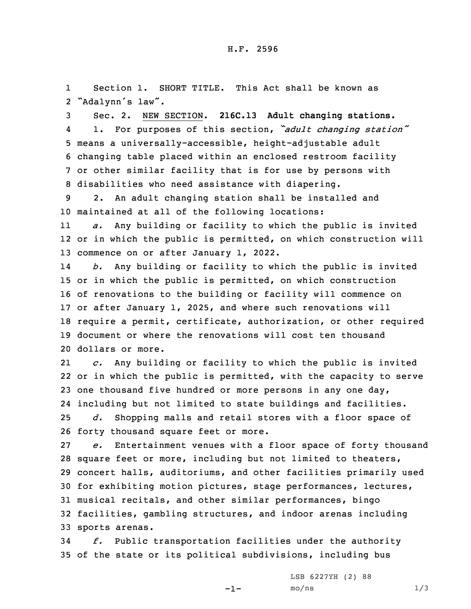1 Section 1. SHORT TITLE. This Act shall be known as 2 "Adalynn's law".

 Sec. 2. NEW SECTION. **216C.13 Adult changing stations.** 4 1. For purposes of this section, *"adult changing station"* means <sup>a</sup> universally-accessible, height-adjustable adult changing table placed within an enclosed restroom facility or other similar facility that is for use by persons with disabilities who need assistance with diapering.

9 2. An adult changing station shall be installed and 10 maintained at all of the following locations:

11 *a.* Any building or facility to which the public is invited 12 or in which the public is permitted, on which construction will 13 commence on or after January 1, 2022.

14 *b.* Any building or facility to which the public is invited or in which the public is permitted, on which construction of renovations to the building or facility will commence on or after January 1, 2025, and where such renovations will require <sup>a</sup> permit, certificate, authorization, or other required document or where the renovations will cost ten thousand dollars or more.

21 *c.* Any building or facility to which the public is invited 22 or in which the public is permitted, with the capacity to serve 23 one thousand five hundred or more persons in any one day, 24 including but not limited to state buildings and facilities. 25 *d.* Shopping malls and retail stores with <sup>a</sup> floor space of 26 forty thousand square feet or more.

 *e.* Entertainment venues with <sup>a</sup> floor space of forty thousand square feet or more, including but not limited to theaters, concert halls, auditoriums, and other facilities primarily used for exhibiting motion pictures, stage performances, lectures, musical recitals, and other similar performances, bingo facilities, gambling structures, and indoor arenas including sports arenas.

34 *f.* Public transportation facilities under the authority 35 of the state or its political subdivisions, including bus

-1-

LSB 6227YH (2) 88  $mo/ns$  1/3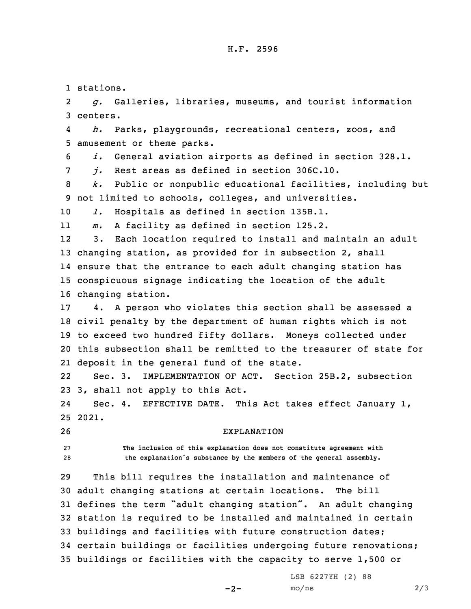## H.F. 2596

1 stations.

2 *g.* Galleries, libraries, museums, and tourist information 3 centers.

4 *h.* Parks, playgrounds, recreational centers, zoos, and 5 amusement or theme parks.

6 *i.* General aviation airports as defined in section 328.1.

7 *j.* Rest areas as defined in section 306C.10.

8 *k.* Public or nonpublic educational facilities, including but 9 not limited to schools, colleges, and universities.

10 *l.* Hospitals as defined in section 135B.1.

11*m.* <sup>A</sup> facility as defined in section 125.2.

12 3. Each location required to install and maintain an adult changing station, as provided for in subsection 2, shall ensure that the entrance to each adult changing station has conspicuous signage indicating the location of the adult changing station.

 4. <sup>A</sup> person who violates this section shall be assessed <sup>a</sup> civil penalty by the department of human rights which is not to exceed two hundred fifty dollars. Moneys collected under this subsection shall be remitted to the treasurer of state for deposit in the general fund of the state.

22 Sec. 3. IMPLEMENTATION OF ACT. Section 25B.2, subsection 23 3, shall not apply to this Act.

24 Sec. 4. EFFECTIVE DATE. This Act takes effect January 1, 25 2021.

26 EXPLANATION

27 **The inclusion of this explanation does not constitute agreement with** <sup>28</sup> **the explanation's substance by the members of the general assembly.**

 This bill requires the installation and maintenance of adult changing stations at certain locations. The bill defines the term "adult changing station". An adult changing station is required to be installed and maintained in certain buildings and facilities with future construction dates; certain buildings or facilities undergoing future renovations; buildings or facilities with the capacity to serve 1,500 or

 $-2-$ 

LSB 6227YH (2) 88  $mo/ns$  2/3